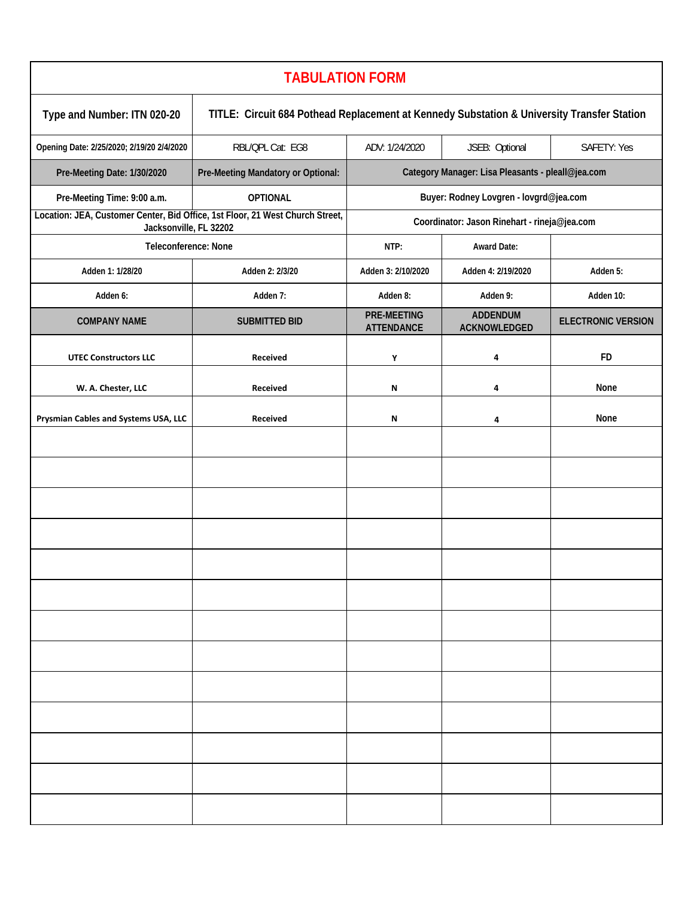| <b>TABULATION FORM</b>                                                                                  |                                                                                            |                                                   |                                 |                           |  |  |  |
|---------------------------------------------------------------------------------------------------------|--------------------------------------------------------------------------------------------|---------------------------------------------------|---------------------------------|---------------------------|--|--|--|
| Type and Number: ITN 020-20                                                                             | TITLE: Circuit 684 Pothead Replacement at Kennedy Substation & University Transfer Station |                                                   |                                 |                           |  |  |  |
| Opening Date: 2/25/2020; 2/19/20 2/4/2020                                                               | RBL/QPL Cat: EG8                                                                           | ADV: 1/24/2020                                    | JSEB: Optional                  | SAFETY: Yes               |  |  |  |
| Pre-Meeting Date: 1/30/2020                                                                             | Pre-Meeting Mandatory or Optional:                                                         | Category Manager: Lisa Pleasants - pleall@jea.com |                                 |                           |  |  |  |
| Pre-Meeting Time: 9:00 a.m.                                                                             | <b>OPTIONAL</b>                                                                            | Buyer: Rodney Lovgren - lovgrd@jea.com            |                                 |                           |  |  |  |
| Location: JEA, Customer Center, Bid Office, 1st Floor, 21 West Church Street,<br>Jacksonville, FL 32202 |                                                                                            | Coordinator: Jason Rinehart - rineja@jea.com      |                                 |                           |  |  |  |
| Teleconference: None                                                                                    |                                                                                            | NTP:                                              | <b>Award Date:</b>              |                           |  |  |  |
| Adden 1: 1/28/20                                                                                        | Adden 2: 2/3/20                                                                            | Adden 3: 2/10/2020                                | Adden 4: 2/19/2020              | Adden 5:                  |  |  |  |
| Adden 6:                                                                                                | Adden 7:                                                                                   | Adden 8:                                          | Adden 9:                        | Adden 10:                 |  |  |  |
| <b>COMPANY NAME</b>                                                                                     | <b>SUBMITTED BID</b>                                                                       | <b>PRE-MEETING</b><br><b>ATTENDANCE</b>           | <b>ADDENDUM</b><br>ACKNOWLEDGED | <b>ELECTRONIC VERSION</b> |  |  |  |
| <b>UTEC Constructors LLC</b>                                                                            | Received                                                                                   | Υ                                                 | 4                               | <b>FD</b>                 |  |  |  |
| W. A. Chester, LLC                                                                                      | <b>Received</b>                                                                            | N                                                 | 4                               | None                      |  |  |  |
| Prysmian Cables and Systems USA, LLC                                                                    | Received                                                                                   | ${\sf N}$                                         | 4                               | None                      |  |  |  |
|                                                                                                         |                                                                                            |                                                   |                                 |                           |  |  |  |
|                                                                                                         |                                                                                            |                                                   |                                 |                           |  |  |  |
|                                                                                                         |                                                                                            |                                                   |                                 |                           |  |  |  |
|                                                                                                         |                                                                                            |                                                   |                                 |                           |  |  |  |
|                                                                                                         |                                                                                            |                                                   |                                 |                           |  |  |  |
|                                                                                                         |                                                                                            |                                                   |                                 |                           |  |  |  |
|                                                                                                         |                                                                                            |                                                   |                                 |                           |  |  |  |
|                                                                                                         |                                                                                            |                                                   |                                 |                           |  |  |  |
|                                                                                                         |                                                                                            |                                                   |                                 |                           |  |  |  |
|                                                                                                         |                                                                                            |                                                   |                                 |                           |  |  |  |
|                                                                                                         |                                                                                            |                                                   |                                 |                           |  |  |  |
|                                                                                                         |                                                                                            |                                                   |                                 |                           |  |  |  |
|                                                                                                         |                                                                                            |                                                   |                                 |                           |  |  |  |